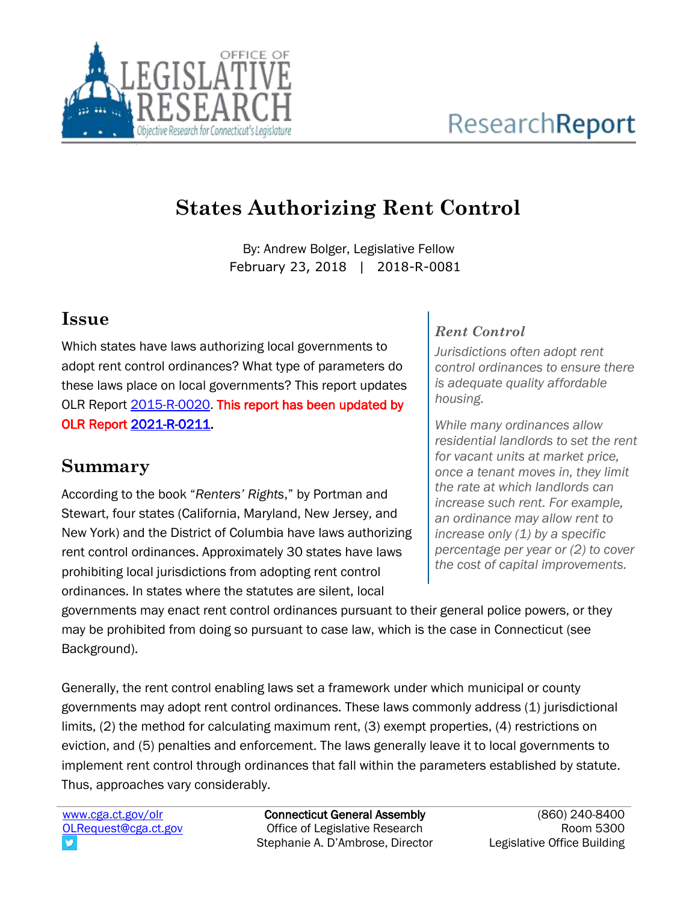

# **States Authorizing Rent Control**

By: Andrew Bolger, Legislative Fellow February 23, 2018 | 2018-R-0081

### **Issue**

Which states have laws authorizing local governments to adopt rent control ordinances? What type of parameters do these laws place on local governments? This report updates OLR Report [2015-R-0020.](https://www.cga.ct.gov/2015/rpt/pdf/2015-R-0020.pdf) This report has been updated by OLR Report [2021-R-0211.](https://www.cga.ct.gov/2021/rpt/pdf/2021-R-0211.pdf)

### **Summary**

According to the book "*Renters' Rights*," by Portman and Stewart, four states (California, Maryland, New Jersey, and New York) and the District of Columbia have laws authorizing rent control ordinances. Approximately 30 states have laws prohibiting local jurisdictions from adopting rent control ordinances. In states where the statutes are silent, local

#### *Rent Control*

*Jurisdictions often adopt rent control ordinances to ensure there is adequate quality affordable housing.* 

*While many ordinances allow residential landlords to set the rent for vacant units at market price, once a tenant moves in, they limit the rate at which landlords can increase such rent. For example, an ordinance may allow rent to increase only (1) by a specific percentage per year or (2) to cover the cost of capital improvements.*

governments may enact rent control ordinances pursuant to their general police powers, or they may be prohibited from doing so pursuant to case law, which is the case in Connecticut (see Background).

Generally, the rent control enabling laws set a framework under which municipal or county governments may adopt rent control ordinances. These laws commonly address (1) jurisdictional limits, (2) the method for calculating maximum rent, (3) exempt properties, (4) restrictions on eviction, and (5) penalties and enforcement. The laws generally leave it to local governments to implement rent control through ordinances that fall within the parameters established by statute. Thus, approaches vary considerably.

[www.cga.ct.gov/olr](http://www.cga.ct.gov/olr) [OLRequest@cga.ct.gov](mailto:OLRequest@cga.ct.gov)

Connecticut General Assembly Office of Legislative Research Stephanie A. D'Ambrose, Director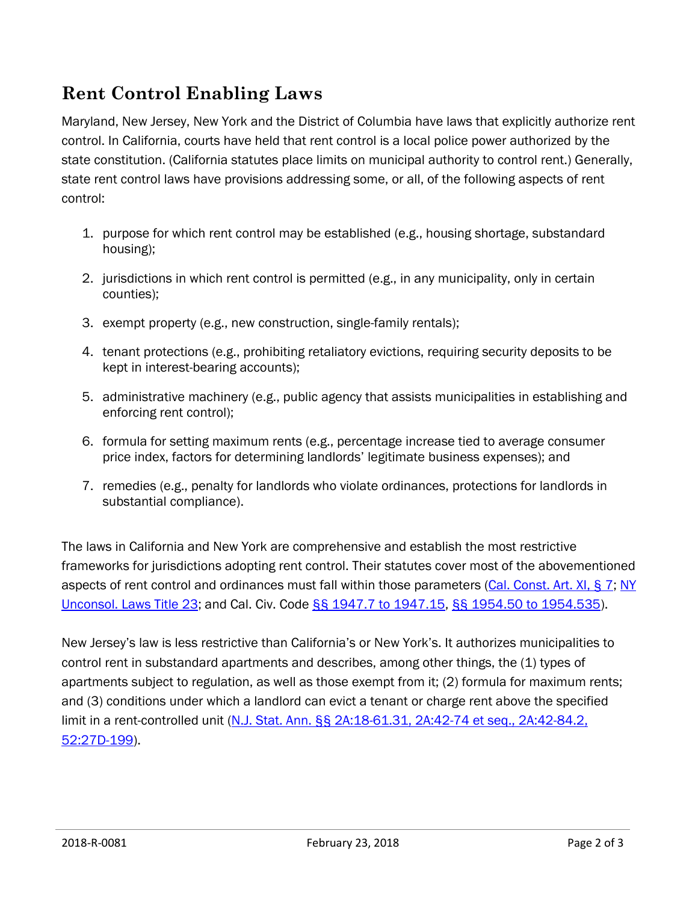# **Rent Control Enabling Laws**

Maryland, New Jersey, New York and the District of Columbia have laws that explicitly authorize rent control. In California, courts have held that rent control is a local police power authorized by the state constitution. (California statutes place limits on municipal authority to control rent.) Generally, state rent control laws have provisions addressing some, or all, of the following aspects of rent control:

- 1. purpose for which rent control may be established (e.g., housing shortage, substandard housing);
- 2. jurisdictions in which rent control is permitted (e.g., in any municipality, only in certain counties);
- 3. exempt property (e.g., new construction, single-family rentals);
- 4. tenant protections (e.g., prohibiting retaliatory evictions, requiring security deposits to be kept in interest-bearing accounts);
- 5. administrative machinery (e.g., public agency that assists municipalities in establishing and enforcing rent control);
- 6. formula for setting maximum rents (e.g., percentage increase tied to average consumer price index, factors for determining landlords' legitimate business expenses); and
- 7. remedies (e.g., penalty for landlords who violate ordinances, protections for landlords in substantial compliance).

The laws in California and New York are comprehensive and establish the most restrictive frameworks for jurisdictions adopting rent control. Their statutes cover most of the abovementioned aspects of rent control and ordinances must fall within those parameters [\(Cal. Const. Art. XI, § 7;](http://leginfo.legislature.ca.gov/faces/codes_displaySection.xhtml?sectionNum=SEC.+7.&lawCode=CONS&article=XI) [NY](https://www.nysenate.gov/legislation/laws/LEH)  [Unconsol. Laws Title 23;](https://www.nysenate.gov/legislation/laws/LEH) and Cal. Civ. Code [§§ 1947.7 to 1947.15,](https://leginfo.legislature.ca.gov/faces/codes_displaySection.xhtml?sectionNum=1947.7.&lawCode=CIV) [§§ 1954.50 to 1954.535\)](https://leginfo.legislature.ca.gov/faces/codes_displaySection.xhtml?sectionNum=1954.50.&lawCode=CIV).

New Jersey's law is less restrictive than California's or New York's. It authorizes municipalities to control rent in substandard apartments and describes, among other things, the (1) types of apartments subject to regulation, as well as those exempt from it; (2) formula for maximum rents; and (3) conditions under which a landlord can evict a tenant or charge rent above the specified limit in a rent-controlled unit (N.J. Stat. Ann. §§ 2A:18-61.31, [2A:42-74 et seq.,](http://lis.njleg.state.nj.us/nxt/gateway.dll?f=templates&fn=default.htm&vid=Publish:10.1048/Enu) 2A:42-84.2, [52:27D-199\)](http://lis.njleg.state.nj.us/nxt/gateway.dll?f=templates&fn=default.htm&vid=Publish:10.1048/Enu).